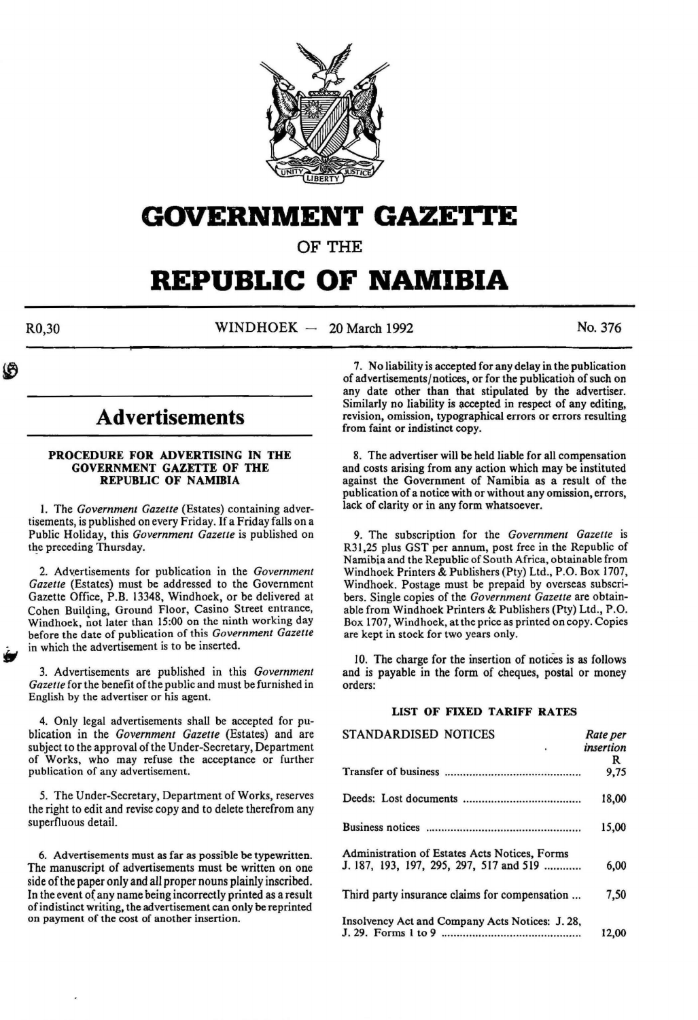

## **GOVERNMENT GAZETTE**

OF THE

# **REPUBLIC OF NAMIBIA**

 $R0,30$  WINDHOEK - 20 March 1992 No. 376

**Advertisements** 

#### PROCEDURE FOR ADVERTISING IN THE GOVERNMENT GAZETTE OF THE REPUBLIC OF NAMIBIA

I. The *Government Gazette* (Estates) containing advertisements, is published on every Friday. If a Friday falls on a Public Holiday, this *Government Gazette* is published on the preceding Thursday.

2. Advertisements for publication in the *Government Gazette* (Estates) must be addressed to the Government Gazette Office, P.B. 13348, Windhoek, or be delivered at Cohen Building, Ground Floor, Casino Street entrance, Windhoek, not later than 15:00 on the ninth working day before the date of publication of this *Government Gazette*  in which the advertisement is to be inserted.

3. Advertisements are published in this *Government Gazette* for the benefit of the public and must be furnished in English by the advertiser or his agent.

4. Only legal advertisements shall be accepted for publication in the *Government Gazette* (Estates) and are subject to the approval of the Under-Secretary, Department of Works, who may refuse the acceptance or further publication of any advertisement.

*5.* The Under-Secretary, Department of Works, reserves the right to edit and revise copy and to delete therefrom any superfluous detail.

6. Advertisements must as far as possible be typewritten. The manuscript of advertisements must be written on one side of the paper only and all proper nouns plainly inscribed. In the event of any name being incorrectly printed as a result of indistinct writing, the advertisement can only be reprinted on payment of the cost of another insertion.

7. No liability is accepted for any delay in the publication of advertisements/notices, or for the publicatioh of such on any date other than that stipulated by the advertiser. Similarly no liability is accepted in respect of any editing, revision, omission, typographical errors or errors resulting from faint or indistinct copy.

8. The advertiser will be held liable for all compensation and costs arising from any action which may be instituted against the Government of Namibia as a result of the publication of a notice with or without any omission, errors, lack of clarity or in any form whatsoever.

9. The subscription for the *Government Gazette* is R31,25 plus GST per annum, post free in the Republic of Namibia and the Republic of South Africa, obtainable from Windhoek Printers & Publishers (Pty) Ltd., P.O. Box 1707, Windhoek. Postage must be prepaid by overseas subscribers. Single copies of the *Government Gazette* are obtainable from Windhoek Printers & Publishers (Pty) Ltd., P.O. Box 1707, Windhoek, at the price as printed on copy. Copies are kept in stock for two years only.

10. The charge for the insertion of notices is as follows and is payable in the form of cheques, postal or money orders:

#### LIST OF FIXED TARIFF RATES

| STANDARDISED NOTICES                            | Rate per  |
|-------------------------------------------------|-----------|
|                                                 | insertion |
|                                                 | R         |
|                                                 | 9,75      |
|                                                 | 18,00     |
|                                                 | 15,00     |
| Administration of Estates Acts Notices, Forms   |           |
| J. 187, 193, 197, 295, 297, 517 and 519         | 6,00      |
| Third party insurance claims for compensation   | 7,50      |
| Insolvency Act and Company Acts Notices: J. 28, |           |
|                                                 | 12,00     |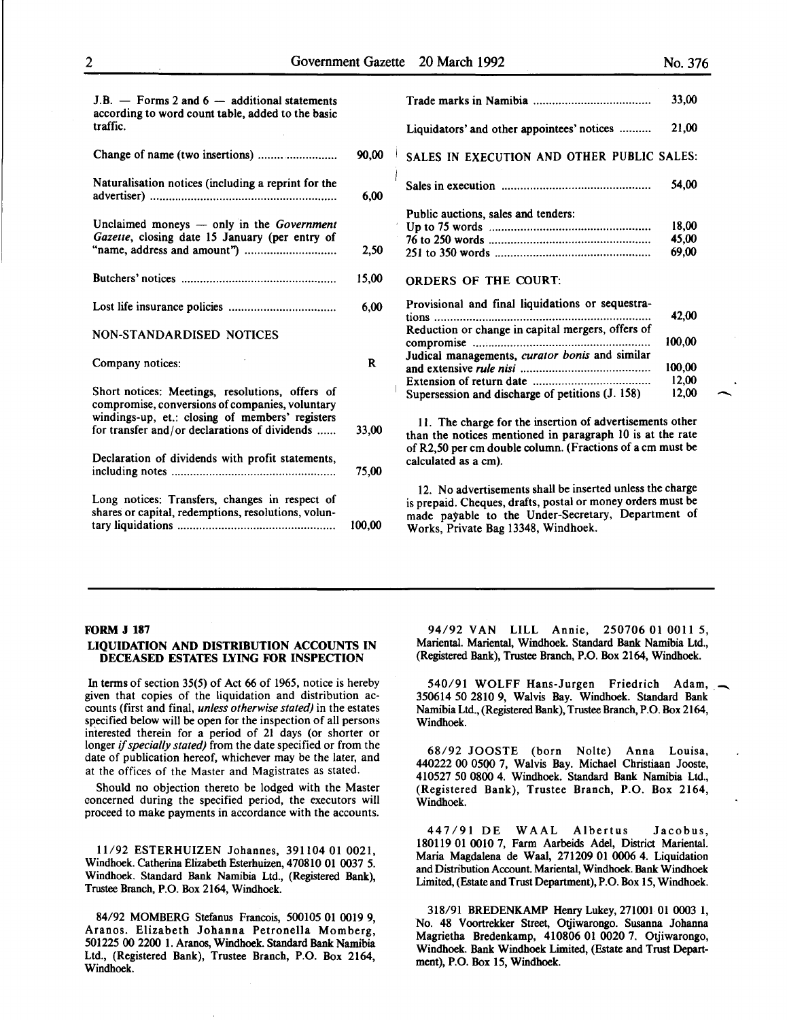-<br>-<br>-

| $J.B.$ — Forms 2 and 6 — additional statements<br>according to word count table, added to the basic   |              |                                                                                                                                                                                                                       | 33,00  |
|-------------------------------------------------------------------------------------------------------|--------------|-----------------------------------------------------------------------------------------------------------------------------------------------------------------------------------------------------------------------|--------|
| traffic.                                                                                              |              | Liquidators' and other appointees' notices                                                                                                                                                                            | 21,00  |
| Change of name (two insertions)                                                                       | 90,00        | SALES IN EXECUTION AND OTHER PUBLIC SALES:                                                                                                                                                                            |        |
| Naturalisation notices (including a reprint for the                                                   | 6,00         |                                                                                                                                                                                                                       | 54,00  |
|                                                                                                       |              | Public auctions, sales and tenders:                                                                                                                                                                                   |        |
| Unclaimed moneys — only in the Government                                                             |              |                                                                                                                                                                                                                       | 18.00  |
| Gazette, closing date 15 January (per entry of                                                        |              |                                                                                                                                                                                                                       | 45,00  |
|                                                                                                       | 2,50         |                                                                                                                                                                                                                       | 69,00  |
|                                                                                                       | 15,00        | <b>ORDERS OF THE COURT.</b>                                                                                                                                                                                           |        |
|                                                                                                       | 6.00         | Provisional and final liquidations or sequestra-                                                                                                                                                                      | 42,00  |
| <b>NON-STANDARDISED NOTICES</b>                                                                       |              | Reduction or change in capital mergers, offers of                                                                                                                                                                     | 100,00 |
|                                                                                                       |              | Judical managements, curator bonis and similar                                                                                                                                                                        |        |
| Company notices:                                                                                      | $\mathbf{R}$ |                                                                                                                                                                                                                       | 100.00 |
|                                                                                                       |              |                                                                                                                                                                                                                       | 12,00  |
| Short notices: Meetings, resolutions, offers of<br>compromise, conversions of companies, voluntary    |              | Supersession and discharge of petitions (J. 158)                                                                                                                                                                      | 12,00  |
| windings-up, et.: closing of members' registers<br>for transfer and/or declarations of dividends      | 33,00        | 11. The charge for the insertion of advertisements other<br>than the notices mentioned in paragraph 10 is at the rate                                                                                                 |        |
| Declaration of dividends with profit statements,                                                      | 75,00        | of R2,50 per cm double column. (Fractions of a cm must be<br>calculated as a cm).                                                                                                                                     |        |
| Long notices: Transfers, changes in respect of<br>shares or capital, redemptions, resolutions, volun- | 100,00       | 12. No advertisements shall be inserted unless the charge<br>is prepaid. Cheques, drafts, postal or money orders must be<br>made payable to the Under-Secretary, Department of<br>Works, Private Bag 13348, Windhoek. |        |
|                                                                                                       |              |                                                                                                                                                                                                                       |        |

|                                                   | 33,00  |
|---------------------------------------------------|--------|
|                                                   |        |
| Liquidators' and other appointees' notices        | 21,00  |
| SALES IN EXECUTION AND OTHER PUBLIC SALES:        |        |
|                                                   | 54,00  |
| Public auctions, sales and tenders:               |        |
|                                                   | 18,00  |
|                                                   | 45,00  |
|                                                   | 69,00  |
| ORDERS OF THE COURT.                              |        |
| Provisional and final liquidations or sequestra-  |        |
|                                                   | 42,00  |
| Reduction or change in capital mergers, offers of |        |
|                                                   | 100,00 |
| Judical managements, curator bonis and similar    |        |
|                                                   | 100.00 |
|                                                   | 12,00  |
|                                                   |        |
| Supersession and discharge of petitions (J. 158)  | 12.00  |

#### FORM J 187

#### LIQUIDATION AND DISTRIBUTION ACCOUNTS IN DECEASED ESTATES LYING FOR INSPECTION

In terms of section 35(5) of Act 66 of 1965, notice is hereby given that copies of the liquidation and distribution accounts (first and final, *unless otherwise stated)* in the estates specified below will be open for the inspection of all persons interested therein for a period of 21 days (or shorter or longer if *specially stated)* from the date specified or from the date of publication hereof, whichever may be the later, and at the offices of the Master and Magistrates as stated.

Should no objection thereto be lodged with the Master concerned during the specified period, the executors will proceed to make payments in accordance with the accounts.

11/92 ESTERHUIZEN Johannes, 391104 01 0021, Windhoek. Catherina Elizabeth Esterhuizen, 470810 01 0037 5. Windhoek. Standard Bank Namibia Ltd., (Registered Bank), Trustee Branch, P.O. Box 2164, Windhoek.

84/92 MOMBERG Stefanus Francois, 500105 01 0019 9, Aranos. Elizabeth Johanna Petronella Momberg, 501225 00 2200 1. Aranos, Windhoek. Standard Bank Namibia Ltd., (Registered Bank), Trustee Branch, P.O. Box 2164, Windhoek.

94/92 VAN LILL Annie, 250706 01 0011 5, Mariental. Mariental, Windhoek. Standard Bank Namibia Ltd., (Registered Bank), Trustee Branch, P.O. Box 2164, Windhoek.

540/91 WOLFF Hans-Jurgen Friedrich Adam, 350614 50 2810 9, Walvis Bay. Windhoek. Standard Bank Namibia Ltd., (Registered Bank), Trustee Branch, P.O. Box 2164, Windhoek.

68/92 JOOSTE (born Nolte) Anna Louisa, 440222 00 05QO 7, Walvis Bay. Michael Christiaan Jooste, 410527 50 0800 4. Windhoek. Standard Bank Namibia Ltd., (Registered Bank), Trustee Branch, P.O. Box 2164, Windhoek.

447/91 DE WAAL Albertus Jacobus, 180119 01 0010 7, Farm Aarbeids Adel, District Mariental. Maria Magdalena de Waal, 271209 01 0006 4. Liquidation and Distribution Account. Mariental, Windhoek. Bank Windhoek Limited, (Estate and Trust Department), P.O. Box 15, Windhoek.

318/91 BREDENKAMP Henry Lukey, 271001 01 0003 1, No. 48 V oortrekker Street, Otjiwarongo. Susanna Johanna Magrietha Bredenkamp, 410806 01 0020 7. Otjiwarongo, Windhoek. Bank Windhoek Limited, (Estate and Trust Department), P.O. Box 15, Windhoek.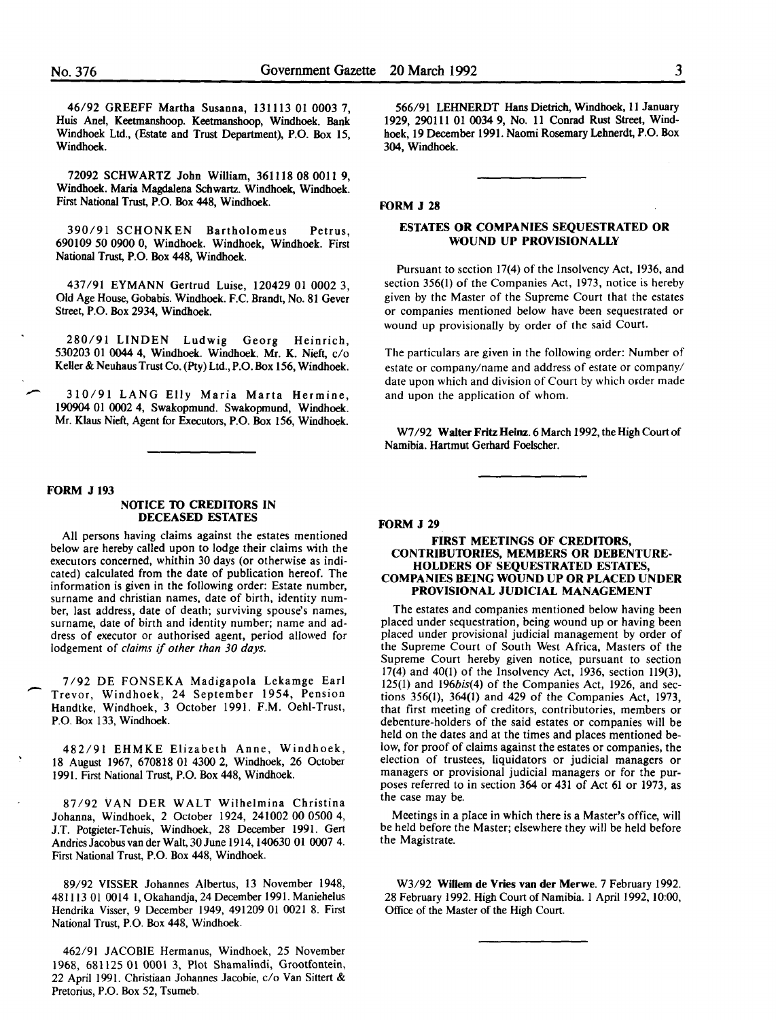46/92 GREEFF Martha Susanna, 131113 01 0003 7, Huis Anel, Keetmanshoop. Keetmanshoop, Windhoek. Bank Windhoek Ltd., (Estate and Trust Department), P.O. Box 15, Windhoek.

72092 SCHWARTZ John William, 361118 08 0011 9, Windhoek. Maria Magdalena Schwartz. Windhoek, Windhoek. First National Trust, P.O. Box 448, Windhoek.

390/91 SCHONKEN Bartholomeus Petrus, 690109 50 0900 0, Windhoek. Windhoek, Windhoek. First National Trust, P.O. Box 448, Windhoek.

437/91 EYMANN Gertrud Luise, 120429 01 0002 3, Old Age House, Gobabis. Windhoek. F.C. Brandt, No. 81 Gever Street, P.O. Box 2934, Windhoek.

280/91 LINDEN Ludwig Georg Heinrich, 530203 01 0044 4, Windhoek. Windhoek. Mr. K. Nieft, c/o Keller & Neuhaus Trust Co. (Pty) Ltd., P.O. Box 156, Windhoek.

310/91 LANG Elly Maria Marta Hermine, 190904 01 0002 4, Swakopmund. Swakopmund, Windhoek. Mr. Klaus Nieft, Agent for Executors, P.O. Box 156, Windhoek.

#### FORM J 193

-

-

#### NOTICE TO CREDITORS IN DECEASED ESTATES

All persons having claims against the estates mentioned below are hereby called upon to lodge their claims with the executors concerned, whithin 30 days (or otherwise as indicated) calculated from the date of publication hereof. The information is given in the following order: Estate number, surname and christian names, date of birth, identity number, last address, date of death; surviving spouse's names, surname, date of birth and identity number; name and address of executor or authorised agent, period allowed for lodgement of *claims* if *other than 30 days.* 

7/92 DE FONSEKA Madigapola Lekamge Earl Trevor, Windhoek, 24 September 1954, Pension Handtke, Windhoek, 3 October 1991. F.M. Oehi-Trust, P.O. Box 133, Windhoek.

482/91 EHMKE Elizabeth Anne, Windhoek, 18 August 1967, 670818 01 4300 2, Windhoek, 26 October 1991. First National Trust, P.O. Box 448, Windhoek.

87/92 VAN DER WALT Wilhelmina Christina Johanna, Windhoek, 2 October 1924, 241002 00 0500 4, J.T. Potgieter-Tehuis, Windhoek, 28 December 1991. Gert AndriesJacobusvanderWalt,30June 1914,140630 01 0007 4. First National Trust, P.O. Box 448, Windhoek.

89/92 VISSER Johannes Albertus, 13 November 1948, 481113 01 0014 l, Okahandja, 24 December 1991. Maniehelus Hendrika Visser, 9 December 1949, 491209 01 0021 8. First National Trust, P.O. Box 448, Windhoek.

462/91 JACOBIE Hermanus, Windhoek, 25 November 1968, 681125 01 0001 3, Plot Shamalindi, Grootfontein, 22 April 1991. Christiaan Johannes Jacobie, c/o Van Sittert & Pretorius, P.O. Box 52, Tsumeb.

566/91 LEHNERDT Hans Dietrich, Windhoek, 11 January 1929, 290111 01 0034 9, No. 11 Conrad Rust Street, Windhoek, 19 December 1991. Naomi Rosemary Lehnerdt, P.O. Box 304, Windhoek.

#### FORM J 28

#### ESTATES OR COMPANIES SEQUESTRATED OR WOUND UP PROVISIONALLY

Pursuant to section 17(4) of the Insolvency Act, 1936, and section 356(1) of the Companies Act, 1973, notice is hereby given by the Master of the Supreme Court that the estates or companies mentioned below have been sequestrated or wound up provisionally by order of the said Court.

The particulars are given in the following order: Number of estate or company/name and address of estate or company/ date upon which and division of Court by which order made and upon the application of whom.

W7 /92 Walter Fritz Heinz. 6 March 1992, the High Court of Namibia. Hartmut Gerhard Foelscher.

FORM J 29

#### FIRST MEETINGS OF CREDITORS, CONTRIBUIDRIES, MEMBERS OR DEBENTURE-HOLDERS OF SEQUESTRATED ESTATES, COMPANIES BEING WOUND UP OR PLACED UNDER PROVISIONAL JUDICIAL MANAGEMENT

The estates and companies mentioned below having been placed under sequestration, being wound up or having been placed under provisional judicial management by order of the Supreme Court of South West Africa, Masters of the Supreme Court hereby given notice, pursuant to section 17(4) and 40(1) of the Insolvency Act, 1936, section 119(3), 125(1) and 196bis(4) of the Companies Act, 1926, and sections 356(1), 364(1) and 429 of the Companies Act, 1973, that first meeting of creditors, contributories, members or debenture-holders of the said estates or companies will be held on the dates and at the times and places mentioned below, for proof of claims against the estates or companies, the election of trustees, liquidators or judicial managers or managers or provisional judicial managers or for the purposes referred to in section 364 or 431 of Act 61 or 1973, as the case may be.

Meetings in a place in which there is a Master's office, will be held before the Master; elsewhere they will be held before the Magistrate.

W3/92 Willem de Vries van der Merwe. 7 February 1992. 28 February 1992. High Court of Namibia. I April 1992, 10:00, Office of the Master of the High Court.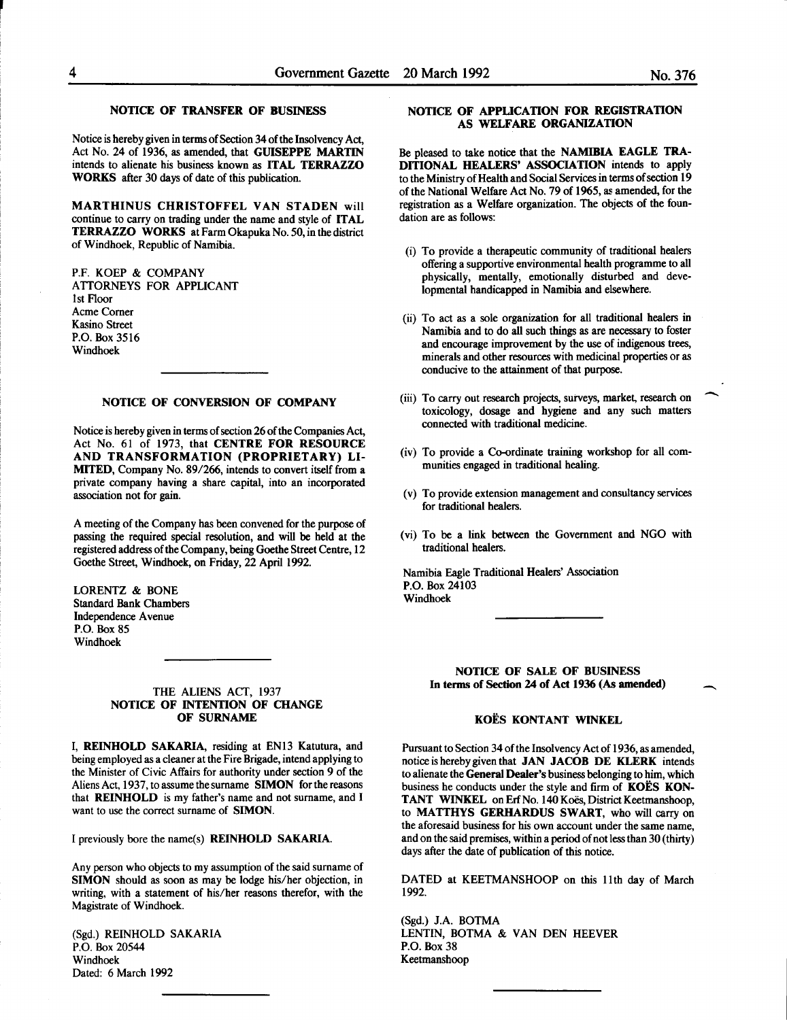#### NOTICE OF TRANSFER OF BUSINESS

Notice is hereby given in terms of Section 34 of the Insolvency Act, Act No. 24 of 1936, as amended, that GUISEPPE MARTIN intends to alienate his business known as ITAL TERRAZZO WORKS after 30 days of date of this publication.

MARTHINUS CHRISTOFFEL VAN STADEN will continue to carry on trading under the name and style of ITAL TERRAZZO WORKS at Farm Okapuka No. 50, in the district of Windhoek, Republic of Namibia.

P.F. KOEP & COMPANY ATTORNEYS FOR APPLICANT lst Floor Acme Comer Kasino Street P.O. Box 3516 Windhoek

#### NOTICE OF CONVERSION OF COMPANY

Notice is hereby given in terms of section 26 of the Companies Act, Act No. 61 of 1973, that CENTRE FOR RESOURCE AND TRANSFORMATION (PROPRIETARY) LI-MITED, Company No. 89/266, intends to convert itself from a private company having a share capital, into an incorporated association not for gain.

A meeting of the Company has been convened for the purpose of passing the required special resolution, and will be held at the registered address of the Company, being Goethe Street Centre, 12 Goethe Street, Windhoek, on Friday, 22 April 1992.

LORENTZ & BONE Standard Bank Chambers Independence A venue P.O. Box 85 Windhoek

#### THE ALIENS ACT, 1937 NOTICE OF INTENTION OF CHANGE OF SURNAME

I, REINHOLD SAKARIA, residing at EN13 Katutura, and being employed as a cleaner at the Fire Brigade, intend applying to the Minister of Civic Affairs for authority under section 9 of the Aliens Act, 1937, to assume the surname SIMON for the reasons that REINHOLD is my father's name and not surname, and I want to use the correct surname of SIMON.

I previously bore the name(s) REINHOLD SAKARIA.

Any person who objects to my assumption of the said surname of SIMON should as soon as may be lodge his/her objection, in writing, with a statement of his/her reasons therefor, with the Magistrate of Windhoek.

(Sgd.) REINHOLD SAKARIA P.O. Box 20544 Windhoek Dated: 6 March 1992

#### NOTICE OF APPUCATION FOR REGISTRATION AS WELFARE ORGANIZATION

Be pleased to take notice that the NAMIBIA EAGLE TRA-DITIONAL HEALERS' ASSOCIATION intends to apply to the Ministry of Health and Social Services in terms of section 19 of the National Welfare Act No. 79 of 1965, as amended, for the registration as a Welfare organization. The objects of the foundation are as follows:

- (i) To provide a therapeutic community of traditional healers offering a supportive environmental health programme to all physically, mentally, emotionally disturbed and developmental handicapped in Namibia and elsewhere.
- (ii) To act as a sole organization for all traditional healers in Namibia and to do all such things as are necessary to foster and encourage improvement by the use of indigenous trees, minerals and other resources with medicinal properties or as conducive to the attainment of that purpose.
- (iii) To carry out research projects, surveys, market, research on toxicology, dosage and hygiene and any such matters connected with traditional medicine.
- $(iv)$  To provide a Co-ordinate training workshop for all communities engaged in traditional healing.
- (v) To provide extension management and consultancy services for traditional healers.
- (vi) To be a link between the Government and NGO with traditional healers.

Namibia Eagle Traditional Healers' Association P.O. Box 24103 Windhoek

#### NOTICE OF SALE OF BUSINESS In terms of Section 24 of Act 1936 (As amended)

#### KOES KONTANT WINKEL

Pursuant to Section 34 of the Insolvency Act of 1936, as amended, notice is hereby given that JAN JACOB DE KLERK intends to alienate the General Dealer's business belonging to him, which business he conducts under the style and firm of KOËS KON-TANT WINKEL on Erf No. 140 Koës, District Keetmanshoop, to MATTHYS GERHARDUS SWART, who will carry on the aforesaid business for his own account under the same name, and on the said premises, within a period of not less than 30 (thirty) days after the date of publication of this notice.

DATED at KEETMANSHOOP on this 11th day of March 1992.

(Sgd.) J.A. BOTMA LENTIN, BOTMA & VAN DEN HEEVER P.O. Box 38 Keetmanshoop

-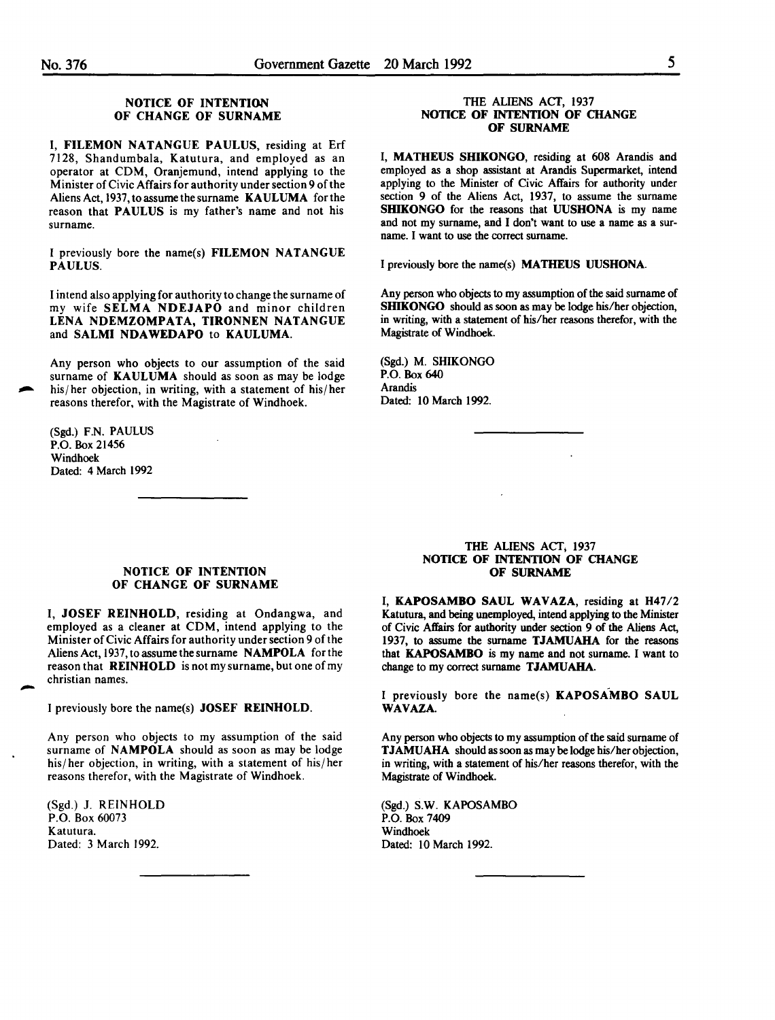#### NOTICE OF INTENTION OF CHANGE OF SURNAME

I, FILEMON NATANGUE PAULUS, residing at Erf 7128, Shandumbala, Katutura, and employed as an operator at CDM, Oranjemund, intend applying to the Minister of Civic Affairs for authority under section 9 of the Aliens Act, 1937, to assume the surname KAULUMA for the reason that PAULUS is my father's name and not his surname.

I previously bore the name(s) FILEMON NATANGUE PAULUS.

I intend also applying for authority to change the surname of my wife SELMA NDEJAPO and minor children LENA NDEMZOMPATA, TIRONNEN NATANGUE and SALMI NDAWEDAPO to KAULUMA.

Any person who objects to our assumption of the said surname of KAULUMA should as soon as may be lodge his/ her objection, in writing, with a statement of his/ her reasons therefor, with the Magistrate of Windhoek.

(Sgd.) F.N. PAULUS P.O. Box 21456 Windhoek Dated: 4 March 1992

#### THE ALIENS ACT, 1937 NOTICE OF INTENTION OF CHANGE OF SURNAME

I, MATHEUS SHIKONGO, residing at 608 Arandis and employed as a shop assistant at Arandis Supermarket, intend applying to the Minister of Civic Affairs for authority under section 9 of the Aliens Act, 1937, to assume the surname SHIKONGO for the reasons that UUSHONA is my name and not my surname, and I don't want to use a name as a surname. I want to use the correct surname.

I previously bore the name(s) MATHEUS UUSHONA.

Any person who objects to my assumption of the said surname of SHIKONGO should as soon as may be lodge his/her objection, in writing, with a statement of his/her reasons therefor, with the Magistrate of Windhoek.

(Sgd.) M. SHIKONGO P.O. Box 640 Arandis Dated: 10 March 1992.

#### NOTICE OF INTENTION OF CHANGE OF SURNAME

I, JOSEF REINHOLD, residing at Ondangwa, and employed as a cleaner at CDM, intend applying to the Minister of Civic Affairs for authority under section 9 of the Aliens Act, 1937, to assume the surname NAMPOLA for the reason that REINHOLD is not my surname, but one of my christian names.

I previously bore the name(s) JOSEF REINHOLD.

Any person who objects to my assumption of the said surname of NAMPOLA should as soon as may be lodge his/her objection, in writing, with a statement of his/her reasons therefor, with the Magistrate of Windhoek.

(Sgd.) J. REINHOLD P.O. Box 60073 Katutura. Dated: 3 March 1992.

-

#### THE ALIENS ACT; 1937 NOTICE OF INTENTION OF CHANGE OF SURNAME

I, KAPOSAMBO SAUL WAVAZA, residing at H47/2 Katutura, and being unemployed, intend applying to the Minister of Civic Affairs for authority under section 9 of the Aliens Act, 1937, to assume the surname TJAMUAHA for the reasons that KAPOSAMBO is my name and not surname. I want to change to my correct surname TJAMUAHA.

I previously bore the name(s) KAPOSAMBO SAUL WAVAZA.

Any person who objects to my assumption of the said surname of **TJAMUAHA** should as soon as may be lodge his/her objection, in writing, with a statement of his/her reasons therefor, with the Magistrate of Windhoek.

(Sgd.) S.W. KAPOSAMBO P.O. Box 7409 Windhoek Dated: 10 March 1992.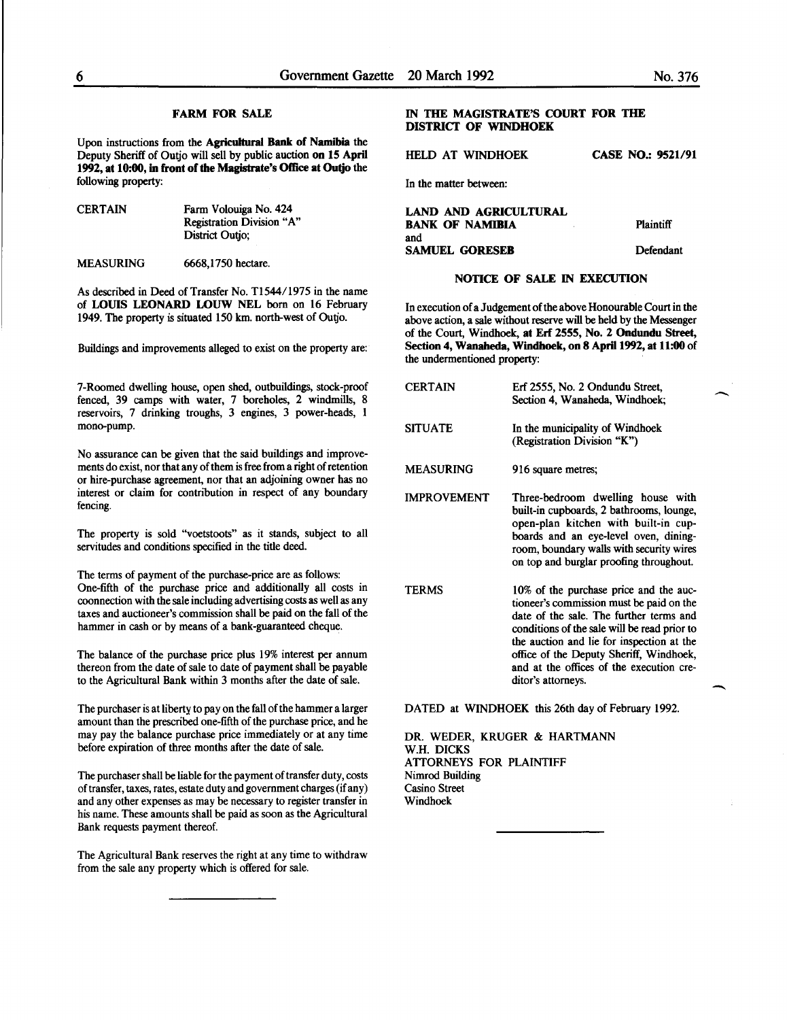#### FARM FOR SALE

Upon instructions from the Agricultural Bank of Namibia the Deputy Sheriff of Outjo will sell by public auction on 15 April 1992, at 10:00, in front of the Magistrate's Office at Outjo the following property:

| <b>CERTAIN</b> | Farm Volouiga No. 424     |
|----------------|---------------------------|
|                | Registration Division "A" |
|                | District Outio:           |
|                |                           |

MEASURING 6668,1750 hectare.

As described in Deed of Transfer No. T1544/1975 in the name of LOUIS LEONARD LOUW NEL born on 16 February 1949. The property is situated 150 km. north-west of Outjo.

Buildings and improvements alleged to exist on the property are:

7-Roomed dwelling house, open shed, outbuildings, stock-proof fenced, 39 camps with water, 7 boreholes, 2 windmills, 8 reservoirs, 7 drinking troughs, 3 engines, 3 power-heads, 1 mono-pump.

No assurance can be given that the said buildings and improvements do exist, nor that any of them is free from a right of retention or hire-purchase agreement, nor that an adjoining owner has no interest or claim for contribution in respect of any boundary fencing.

The property is sold "voetstoots" as it stands, subject to all servitudes and conditions specified in the title deed.

The terms of payment of the purchase-price are as follows: One-fifth of the purchase price and additionally all costs in coonnection with the sale including advertising costs as well as any taxes and auctioneer's commission shall be paid on the fall of the hammer in cash or by means of a bank-guaranteed cheque.

The balance of the purchase price plus 19% interest per annum thereon from the date of sale to date of payment shall be payable to the Agricultural Bank within 3 months after the date of sale.

The purchaser is at liberty to pay on the fall of the hammer a larger amount than the prescribed one-fifth of the purchase price, and he may pay the balance purchase price immediately or at any time before expiration of three months after the date of sale.

The purchaser shall be liable for the payment of transfer duty, costs of transfer, taxes, rates, estate duty and government charges (if any) and any other expenses as may be necessary to register transfer in his name. These amounts shall be paid as soon as the Agricultural Bank requests payment thereof.

The Agricultural Bank reserves the right at any time to withdraw from the sale any property which is offered for sale.

#### IN THE MAGISTRATE'S COURT FOR THE DISTRICT OF WINDHOEK

فالمستحصل فالمحامل والمستحدث

HELD AT WINDHOEK CASE NO.: 9521/91

In the matter between: **Contract Contract** 

| LAND AND AGRICULTURAL<br><b>BANK OF NAMIBIA</b> | <b>Plaintiff</b> |
|-------------------------------------------------|------------------|
| and<br><b>SAMUEL GORESEB</b>                    | Defendant        |

#### NOTICE OF SALE IN EXECUTION

In execution of a Judgement of the above Honourable Court in the above action, a sale without reserve will be held by the Messenger of the Court, Windhoek, at Erf 2555, No. 2 Ondundu Street, Section 4, Wanaheda, Windhoek, on 8 April 1992, at 11:00 of the undermentioned property:

| CERTAIN            | Erf 2555, No. 2 Ondundu Street,<br>Section 4, Wanaheda, Windhoek;                                                                                                                                                                                                                                                 |
|--------------------|-------------------------------------------------------------------------------------------------------------------------------------------------------------------------------------------------------------------------------------------------------------------------------------------------------------------|
| <b>SITUATE</b>     | In the municipality of Windhoek<br>(Registration Division "K")                                                                                                                                                                                                                                                    |
| <b>MEASURING</b>   | 916 square metres;                                                                                                                                                                                                                                                                                                |
| <b>IMPROVEMENT</b> | Three-bedroom dwelling house with<br>built-in cupboards, 2 bathrooms, lounge,<br>open-plan kitchen with built-in cup-<br>boards and an eye-level oven, dining-<br>room, boundary walls with security wires<br>on top and burglar proofing throughout.                                                             |
| <b>TERMS</b>       | 10% of the purchase price and the auc-<br>tioneer's commission must be paid on the<br>date of the sale. The further terms and<br>conditions of the sale will be read prior to<br>the auction and lie for inspection at the<br>office of the Deputy Sheriff, Windhoek,<br>and at the offices of the execution cre- |

DATED at WINDHOEK this 26th day of February 1992.

ditor's attorneys.

DR. WEDER, KRUGER & HARTMANN W.H. DICKS ATTORNEYS FOR PLAINTIFF Nimrod Building Casino Street Windhoek

**-**

 $\overline{\phantom{a}}$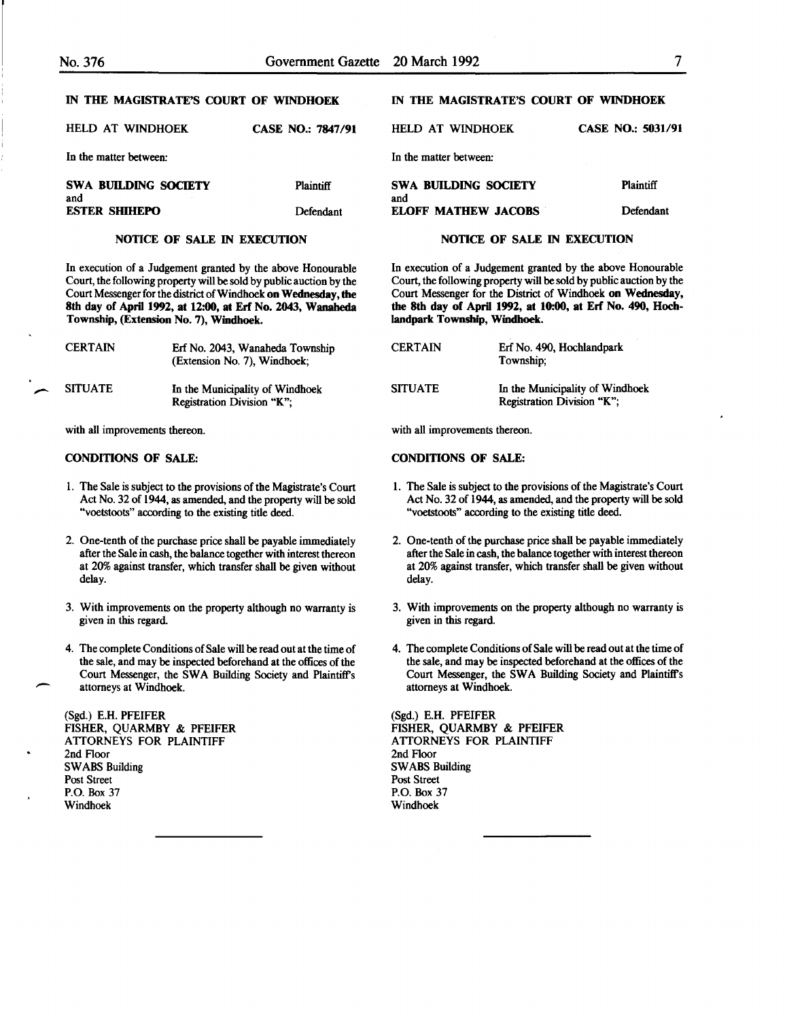| HELD AT WINDHOEK                   | <b>CASE NO.: 7847/91</b> | HELD AT WINDHOEK            | <b>CASE NO.: 5031/91</b> |
|------------------------------------|--------------------------|-----------------------------|--------------------------|
| In the matter between:             |                          | In the matter between:      |                          |
| <b>SWA BUILDING SOCIETY</b><br>and | <b>Plaintiff</b>         | SWA BUILDING SOCIETY<br>and | <b>Plaintiff</b>         |
| <b>ESTER SHIHEPO</b>               | Defendant                | <b>ELOFF MATHEW JACOBS</b>  | Defendant                |

#### NOTICE OF SALE IN EXECUTION

In execution of a Judgement granted by the above Honourable Court, the following property will be sold by public auction by the Court Messenger for the district of Windhoek on Wednesday, the 8th day of April 1992, at 12:00, at Erf No. 2043, Wanaheda Township, (Extension No. 7), Windhoek.

| <b>CERTAIN</b> | Erf No. 2043, Wanaheda Township<br>(Extension No. 7), Windhoek; | <b>CERTAIN</b> | Erf No<br>Towns   |
|----------------|-----------------------------------------------------------------|----------------|-------------------|
| <b>SITUATE</b> | In the Municipality of Windhoek<br>Registration Division "K";   | <b>SITUATE</b> | In the<br>Registi |

with all improvements thereon.

#### CONDITIONS OF SALE:

- 1. The Sale is subject to the provisions of the Magistrate's Court Act No. 32 of 1944, as amended, and the property will be sold "voetstoots" according to the existing title deed.
- 2. One-tenth of the purchase price shall be payable immediately after the Sale in cash, the balance together with interest thereon at 20% against transfer, which transfer shall be given without delay.
- 3. With improvements on the property although no warranty is given in this regard.
- 4. The complete Conditions of Sale will be read out at the time of the sale, and may be inspected beforehand at the offices of the Court Messenger, the SWA Building Society and Plaintiff's attorneys at Windhoek.

(Sgd.) E.H. PFEIFER FISHER, QUARMBY & PFEIFER ATTORNEYS FOR PLAINTIFF 2nd Floor SWABS Building Post Street P.O. Box 37 Windhoek

-

#### IN THE MAGISTRATE'S COURT OF WINDHOEK

#### NOTICE OF SALE IN EXECUTION

In execution of a Judgement granted by the above Honourable Court, the following property will be sold by public auction by the Court Messenger for the District of Windhoek on Wednesday, the 8th day of April 1992, at 10:00, at Erf No. 490, Hochlandpark Township, Windhoek.

| <b>CERTAIN</b> | Erf No. 490, Hochlandpark<br>Township:                               |
|----------------|----------------------------------------------------------------------|
| <b>SITUATE</b> | In the Municipality of Windhoek<br><b>Registration Division "K":</b> |

with all improvements thereon.

#### CONDITIONS OF SALE:

- 1. The Sale is subject to the provisions of the Magistrate's Court Act No. 32 of 1944, as amended, and the property will be sold "voetstoots" according to the existing title deed.
- 2. One-tenth of the purchase price shall be payable immediately after the Sale in cash, the balance together with interest thereon at 20% against transfer, which transfer shall be given without delay.
- 3. With improvements on the property although no warranty is given in this regard.
- 4. The complete Conditions of Sale will be read out at the time of the sale, and may be inspected beforehand at the offices of the Court Messenger, the SWA Building Society and Plaintiff's attorneys at Windhoek.

(Sgd.) E.H. PFEIFER FISHER, QUARMBY & PFEIFER ATTORNEYS FOR PLAINTIFF 2nd Floor SWABS Building Post Street P.O. Box 37 Windhoek